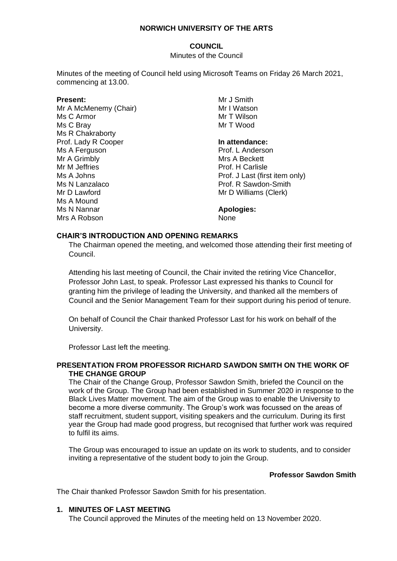# **COUNCIL**

Minutes of the Council

Minutes of the meeting of Council held using Microsoft Teams on Friday 26 March 2021, commencing at 13.00.

## **Present:**

Mr A McMenemy (Chair) Ms C Armor Ms C Bray Ms R Chakraborty Prof. Lady R Cooper Ms A Ferguson Mr A Grimbly Mr M Jeffries Ms A Johns Ms N Lanzalaco Mr D Lawford Ms A Mound Ms N Nannar Mrs A Robson

Mr J Smith Mr I Watson Mr T Wilson Mr T Wood

## **In attendance:**

Prof. L Anderson Mrs A Beckett Prof. H Carlisle Prof. J Last (first item only) Prof. R Sawdon-Smith Mr D Williams (Clerk)

**Apologies:**

None

## **CHAIR'S INTRODUCTION AND OPENING REMARKS**

The Chairman opened the meeting, and welcomed those attending their first meeting of Council.

Attending his last meeting of Council, the Chair invited the retiring Vice Chancellor, Professor John Last, to speak. Professor Last expressed his thanks to Council for granting him the privilege of leading the University, and thanked all the members of Council and the Senior Management Team for their support during his period of tenure.

On behalf of Council the Chair thanked Professor Last for his work on behalf of the University.

Professor Last left the meeting.

## **PRESENTATION FROM PROFESSOR RICHARD SAWDON SMITH ON THE WORK OF THE CHANGE GROUP**

The Chair of the Change Group, Professor Sawdon Smith, briefed the Council on the work of the Group. The Group had been established in Summer 2020 in response to the Black Lives Matter movement. The aim of the Group was to enable the University to become a more diverse community. The Group's work was focussed on the areas of staff recruitment, student support, visiting speakers and the curriculum. During its first year the Group had made good progress, but recognised that further work was required to fulfil its aims.

The Group was encouraged to issue an update on its work to students, and to consider inviting a representative of the student body to join the Group.

# **Professor Sawdon Smith**

The Chair thanked Professor Sawdon Smith for his presentation.

## **1. MINUTES OF LAST MEETING**

The Council approved the Minutes of the meeting held on 13 November 2020.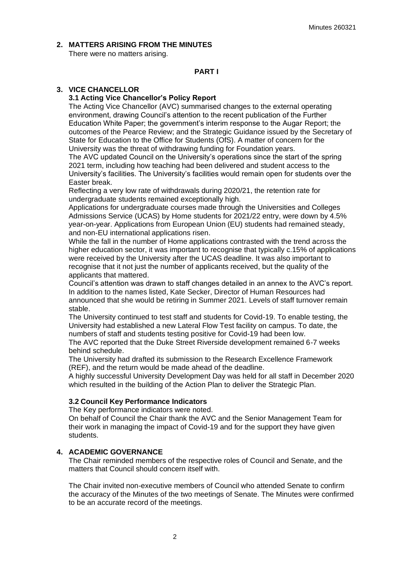#### **2. MATTERS ARISING FROM THE MINUTES**

There were no matters arising.

## **PART I**

#### **3. VICE CHANCELLOR**

## **3.1 Acting Vice Chancellor's Policy Report**

The Acting Vice Chancellor (AVC) summarised changes to the external operating environment, drawing Council's attention to the recent publication of the Further Education White Paper; the government's interim response to the Augar Report; the outcomes of the Pearce Review; and the Strategic Guidance issued by the Secretary of State for Education to the Office for Students (OfS). A matter of concern for the University was the threat of withdrawing funding for Foundation years.

The AVC updated Council on the University's operations since the start of the spring 2021 term, including how teaching had been delivered and student access to the University's facilities. The University's facilities would remain open for students over the Easter break.

Reflecting a very low rate of withdrawals during 2020/21, the retention rate for undergraduate students remained exceptionally high.

Applications for undergraduate courses made through the Universities and Colleges Admissions Service (UCAS) by Home students for 2021/22 entry, were down by 4.5% year-on-year. Applications from European Union (EU) students had remained steady, and non-EU international applications risen.

While the fall in the number of Home applications contrasted with the trend across the higher education sector, it was important to recognise that typically c.15% of applications were received by the University after the UCAS deadline. It was also important to recognise that it not just the number of applicants received, but the quality of the applicants that mattered.

Council's attention was drawn to staff changes detailed in an annex to the AVC's report. In addition to the names listed, Kate Secker, Director of Human Resources had announced that she would be retiring in Summer 2021. Levels of staff turnover remain stable.

The University continued to test staff and students for Covid-19. To enable testing, the University had established a new Lateral Flow Test facility on campus. To date, the numbers of staff and students testing positive for Covid-19 had been low.

The AVC reported that the Duke Street Riverside development remained 6-7 weeks behind schedule.

The University had drafted its submission to the Research Excellence Framework (REF), and the return would be made ahead of the deadline.

A highly successful University Development Day was held for all staff in December 2020 which resulted in the building of the Action Plan to deliver the Strategic Plan.

#### **3.2 Council Key Performance Indicators**

The Key performance indicators were noted.

On behalf of Council the Chair thank the AVC and the Senior Management Team for their work in managing the impact of Covid-19 and for the support they have given students.

### **4. ACADEMIC GOVERNANCE**

The Chair reminded members of the respective roles of Council and Senate, and the matters that Council should concern itself with.

The Chair invited non-executive members of Council who attended Senate to confirm the accuracy of the Minutes of the two meetings of Senate. The Minutes were confirmed to be an accurate record of the meetings.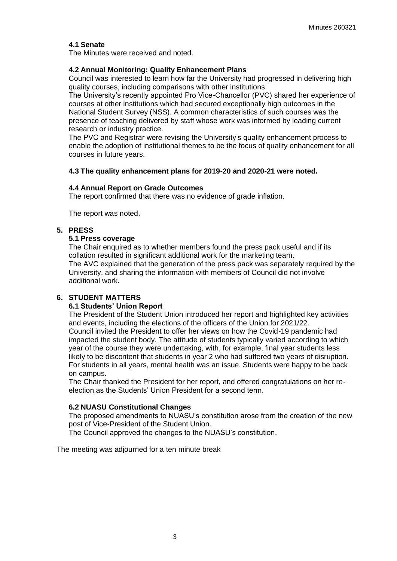## **4.1 Senate**

The Minutes were received and noted.

### **4.2 Annual Monitoring: Quality Enhancement Plans**

Council was interested to learn how far the University had progressed in delivering high quality courses, including comparisons with other institutions.

The University's recently appointed Pro Vice-Chancellor (PVC) shared her experience of courses at other institutions which had secured exceptionally high outcomes in the National Student Survey (NSS). A common characteristics of such courses was the presence of teaching delivered by staff whose work was informed by leading current research or industry practice.

The PVC and Registrar were revising the University's quality enhancement process to enable the adoption of institutional themes to be the focus of quality enhancement for all courses in future years.

#### **4.3 The quality enhancement plans for 2019-20 and 2020-21 were noted.**

#### **4.4 Annual Report on Grade Outcomes**

The report confirmed that there was no evidence of grade inflation.

The report was noted.

## **5. PRESS**

## **5.1 Press coverage**

The Chair enquired as to whether members found the press pack useful and if its collation resulted in significant additional work for the marketing team. The AVC explained that the generation of the press pack was separately required by the University, and sharing the information with members of Council did not involve additional work.

## **6. STUDENT MATTERS**

#### **6.1 Students' Union Report**

The President of the Student Union introduced her report and highlighted key activities and events, including the elections of the officers of the Union for 2021/22. Council invited the President to offer her views on how the Covid-19 pandemic had impacted the student body. The attitude of students typically varied according to which year of the course they were undertaking, with, for example, final year students less likely to be discontent that students in year 2 who had suffered two years of disruption. For students in all years, mental health was an issue. Students were happy to be back on campus.

The Chair thanked the President for her report, and offered congratulations on her reelection as the Students' Union President for a second term.

#### **6.2 NUASU Constitutional Changes**

The proposed amendments to NUASU's constitution arose from the creation of the new post of Vice-President of the Student Union.

The Council approved the changes to the NUASU's constitution.

The meeting was adjourned for a ten minute break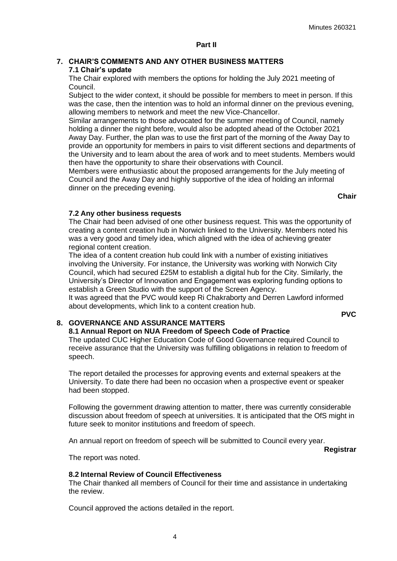4

### **7. CHAIR'S COMMENTS AND ANY OTHER BUSINESS MATTERS 7.1 Chair's update**

The Chair explored with members the options for holding the July 2021 meeting of Council.

Subject to the wider context, it should be possible for members to meet in person. If this was the case, then the intention was to hold an informal dinner on the previous evening, allowing members to network and meet the new Vice-Chancellor.

Similar arrangements to those advocated for the summer meeting of Council, namely holding a dinner the night before, would also be adopted ahead of the October 2021 Away Day. Further, the plan was to use the first part of the morning of the Away Day to provide an opportunity for members in pairs to visit different sections and departments of the University and to learn about the area of work and to meet students. Members would then have the opportunity to share their observations with Council.

Members were enthusiastic about the proposed arrangements for the July meeting of Council and the Away Day and highly supportive of the idea of holding an informal dinner on the preceding evening.

**Chair**

**PVC**

### **7.2 Any other business requests**

The Chair had been advised of one other business request. This was the opportunity of creating a content creation hub in Norwich linked to the University. Members noted his was a very good and timely idea, which aligned with the idea of achieving greater regional content creation.

The idea of a content creation hub could link with a number of existing initiatives involving the University. For instance, the University was working with Norwich City Council, which had secured £25M to establish a digital hub for the City. Similarly, the University's Director of Innovation and Engagement was exploring funding options to establish a Green Studio with the support of the Screen Agency.

It was agreed that the PVC would keep Ri Chakraborty and Derren Lawford informed about developments, which link to a content creation hub.

#### **8. GOVERNANCE AND ASSURANCE MATTERS**

#### **8.1 Annual Report on NUA Freedom of Speech Code of Practice**

The updated CUC Higher Education Code of Good Governance required Council to receive assurance that the University was fulfilling obligations in relation to freedom of speech.

The report detailed the processes for approving events and external speakers at the University. To date there had been no occasion when a prospective event or speaker had been stopped.

Following the government drawing attention to matter, there was currently considerable discussion about freedom of speech at universities. It is anticipated that the OfS might in future seek to monitor institutions and freedom of speech.

An annual report on freedom of speech will be submitted to Council every year.

**Registrar**

The report was noted.

#### **8.2 Internal Review of Council Effectiveness**

The Chair thanked all members of Council for their time and assistance in undertaking the review.

Council approved the actions detailed in the report.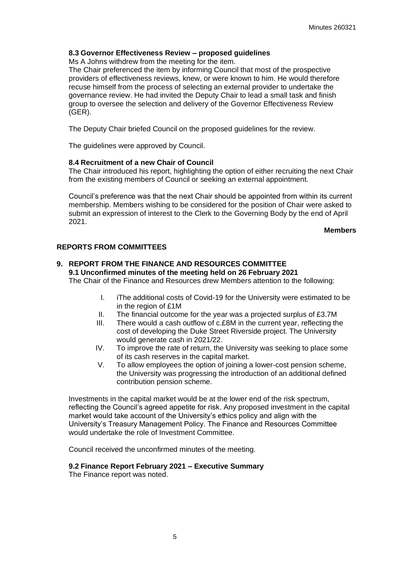## **8.3 Governor Effectiveness Review – proposed guidelines**

Ms A Johns withdrew from the meeting for the item.

The Chair preferenced the item by informing Council that most of the prospective providers of effectiveness reviews, knew, or were known to him. He would therefore recuse himself from the process of selecting an external provider to undertake the governance review. He had invited the Deputy Chair to lead a small task and finish group to oversee the selection and delivery of the Governor Effectiveness Review (GER).

The Deputy Chair briefed Council on the proposed guidelines for the review.

The guidelines were approved by Council.

#### **8.4 Recruitment of a new Chair of Council**

The Chair introduced his report, highlighting the option of either recruiting the next Chair from the existing members of Council or seeking an external appointment.

Council's preference was that the next Chair should be appointed from within its current membership. Members wishing to be considered for the position of Chair were asked to submit an expression of interest to the Clerk to the Governing Body by the end of April 2021.

**Members**

#### **REPORTS FROM COMMITTEES**

### **9. REPORT FROM THE FINANCE AND RESOURCES COMMITTEE 9.1 Unconfirmed minutes of the meeting held on 26 February 2021** The Chair of the Finance and Resources drew Members attention to the following:

- I. iThe additional costs of Covid-19 for the University were estimated to be in the region of £1M
- II. The financial outcome for the year was a projected surplus of £3.7M
- III. There would a cash outflow of c.£8M in the current year, reflecting the cost of developing the Duke Street Riverside project. The University would generate cash in 2021/22.
- IV. To improve the rate of return, the University was seeking to place some of its cash reserves in the capital market.
- V. To allow employees the option of joining a lower-cost pension scheme, the University was progressing the introduction of an additional defined contribution pension scheme.

Investments in the capital market would be at the lower end of the risk spectrum, reflecting the Council's agreed appetite for risk. Any proposed investment in the capital market would take account of the University's ethics policy and align with the University's Treasury Management Policy. The Finance and Resources Committee would undertake the role of Investment Committee.

Council received the unconfirmed minutes of the meeting.

### **9.2 Finance Report February 2021 – Executive Summary**

The Finance report was noted.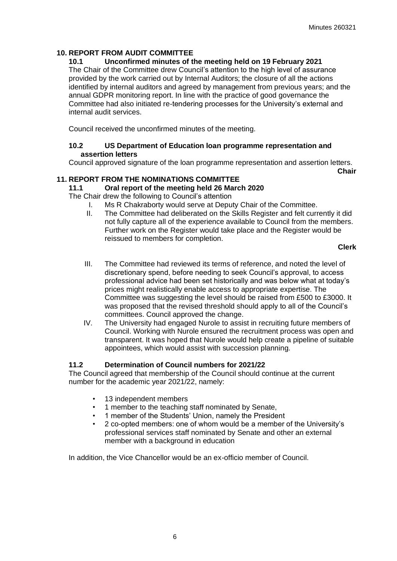## **10. REPORT FROM AUDIT COMMITTEE**

## **10.1 Unconfirmed minutes of the meeting held on 19 February 2021**

The Chair of the Committee drew Council's attention to the high level of assurance provided by the work carried out by Internal Auditors; the closure of all the actions identified by internal auditors and agreed by management from previous years; and the annual GDPR monitoring report. In line with the practice of good governance the Committee had also initiated re-tendering processes for the University's external and internal audit services.

Council received the unconfirmed minutes of the meeting.

### **10.2 US Department of Education loan programme representation and assertion letters**

Council approved signature of the loan programme representation and assertion letters. **Chair** 

### **11. REPORT FROM THE NOMINATIONS COMMITTEE**

## **11.1 Oral report of the meeting held 26 March 2020**

The Chair drew the following to Council's attention

- I. Ms R Chakraborty would serve at Deputy Chair of the Committee.
- II. The Committee had deliberated on the Skills Register and felt currently it did not fully capture all of the experience available to Council from the members. Further work on the Register would take place and the Register would be reissued to members for completion.

**Clerk**

- III. The Committee had reviewed its terms of reference, and noted the level of discretionary spend, before needing to seek Council's approval, to access professional advice had been set historically and was below what at today's prices might realistically enable access to appropriate expertise. The Committee was suggesting the level should be raised from £500 to £3000. It was proposed that the revised threshold should apply to all of the Council's committees. Council approved the change.
- IV. The University had engaged Nurole to assist in recruiting future members of Council. Working with Nurole ensured the recruitment process was open and transparent. It was hoped that Nurole would help create a pipeline of suitable appointees, which would assist with succession planning.

## **11.2 Determination of Council numbers for 2021/22**

The Council agreed that membership of the Council should continue at the current number for the academic year 2021/22, namely:

- 13 independent members
- 1 member to the teaching staff nominated by Senate,
- 1 member of the Students' Union, namely the President
- 2 co-opted members: one of whom would be a member of the University's professional services staff nominated by Senate and other an external member with a background in education

In addition, the Vice Chancellor would be an ex-officio member of Council.